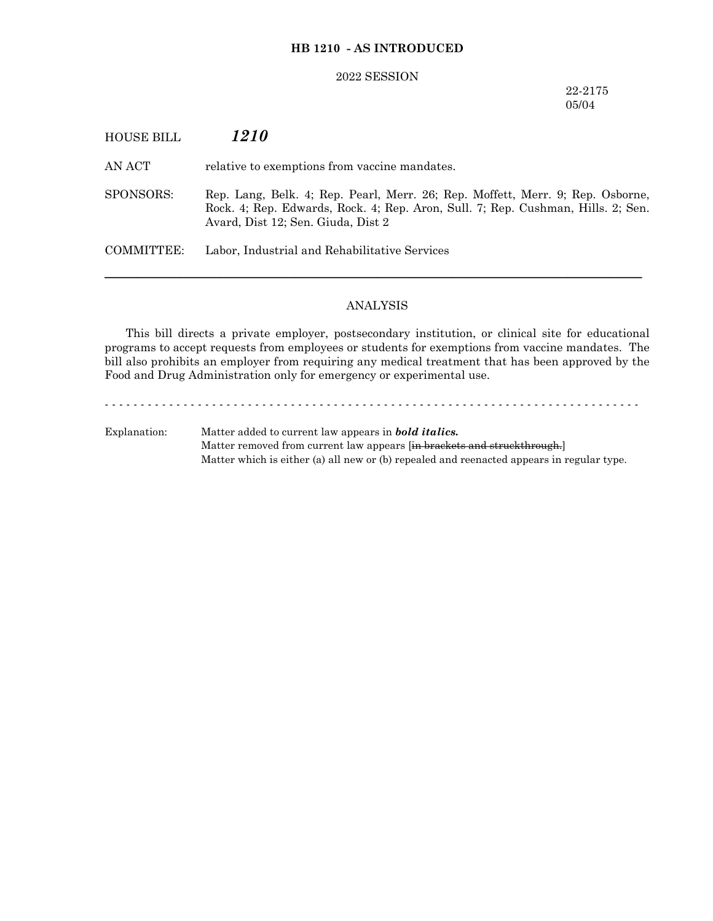## **HB 1210 - AS INTRODUCED**

#### 2022 SESSION

# 22-2175 05/04

# HOUSE BILL *1210*

AN ACT relative to exemptions from vaccine mandates.

SPONSORS: Rep. Lang, Belk. 4; Rep. Pearl, Merr. 26; Rep. Moffett, Merr. 9; Rep. Osborne, Rock. 4; Rep. Edwards, Rock. 4; Rep. Aron, Sull. 7; Rep. Cushman, Hills. 2; Sen. Avard, Dist 12; Sen. Giuda, Dist 2

COMMITTEE: Labor, Industrial and Rehabilitative Services

### ANALYSIS

─────────────────────────────────────────────────────────────────

This bill directs a private employer, postsecondary institution, or clinical site for educational programs to accept requests from employees or students for exemptions from vaccine mandates. The bill also prohibits an employer from requiring any medical treatment that has been approved by the Food and Drug Administration only for emergency or experimental use.

- - - - - - - - - - - - - - - - - - - - - - - - - - - - - - - - - - - - - - - - - - - - - - - - - - - - - - - - - - - - - - - - - - - - - - - - - - - Explanation: Matter added to current law appears in *bold italics.* Matter removed from current law appears [in brackets and struckthrough.]

Matter which is either (a) all new or (b) repealed and reenacted appears in regular type.